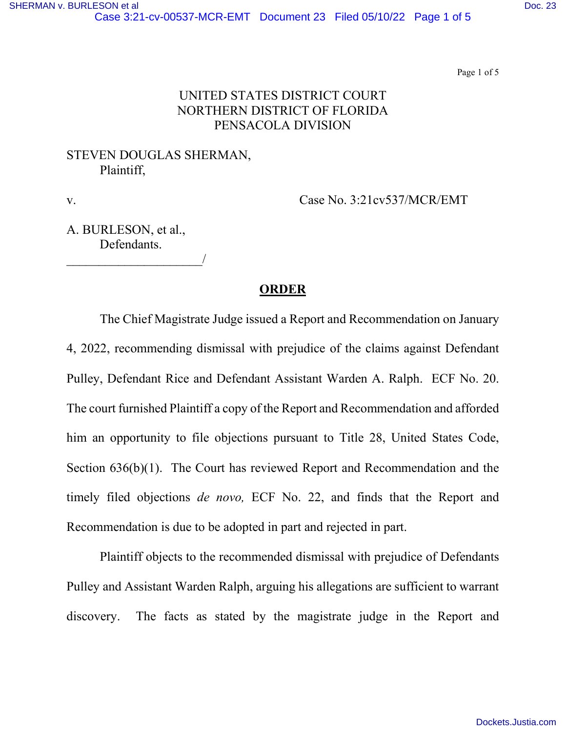Page 1 of 5

# UNITED STATES DISTRICT COURT NORTHERN DISTRICT OF FLORIDA PENSACOLA DIVISION

### STEVEN DOUGLAS SHERMAN, Plaintiff,

v. Case No. 3:21cv537/MCR/EMT

A. BURLESON, et al., Defendants.

\_\_\_\_\_\_\_\_\_\_\_\_\_\_\_\_\_\_\_\_\_/

### **ORDER**

 The Chief Magistrate Judge issued a Report and Recommendation on January 4, 2022, recommending dismissal with prejudice of the claims against Defendant Pulley, Defendant Rice and Defendant Assistant Warden A. Ralph. ECF No. 20. The court furnished Plaintiff a copy of the Report and Recommendation and afforded him an opportunity to file objections pursuant to Title 28, United States Code, Section 636(b)(1). The Court has reviewed Report and Recommendation and the timely filed objections *de novo,* ECF No. 22, and finds that the Report and Recommendation is due to be adopted in part and rejected in part.

Plaintiff objects to the recommended dismissal with prejudice of Defendants Pulley and Assistant Warden Ralph, arguing his allegations are sufficient to warrant discovery. The facts as stated by the magistrate judge in the Report and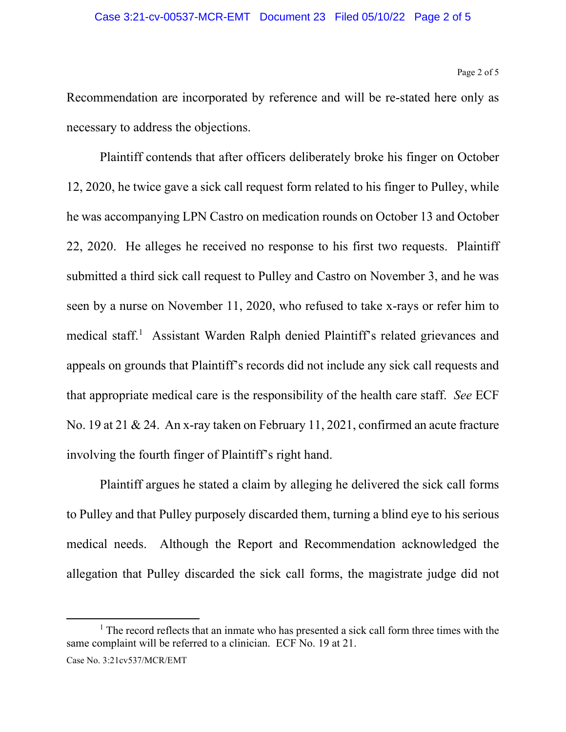### Case 3:21-cv-00537-MCR-EMT Document 23 Filed 05/10/22 Page 2 of 5

Page 2 of 5

Recommendation are incorporated by reference and will be re-stated here only as necessary to address the objections.

 Plaintiff contends that after officers deliberately broke his finger on October 12, 2020, he twice gave a sick call request form related to his finger to Pulley, while he was accompanying LPN Castro on medication rounds on October 13 and October 22, 2020. He alleges he received no response to his first two requests. Plaintiff submitted a third sick call request to Pulley and Castro on November 3, and he was seen by a nurse on November 11, 2020, who refused to take x-rays or refer him to medical staff.<sup>[1](#page-1-0)</sup> Assistant Warden Ralph denied Plaintiff's related grievances and appeals on grounds that Plaintiff's records did not include any sick call requests and that appropriate medical care is the responsibility of the health care staff. *See* ECF No. 19 at 21 & 24. An x-ray taken on February 11, 2021, confirmed an acute fracture involving the fourth finger of Plaintiff's right hand.

Plaintiff argues he stated a claim by alleging he delivered the sick call forms to Pulley and that Pulley purposely discarded them, turning a blind eye to his serious medical needs. Although the Report and Recommendation acknowledged the allegation that Pulley discarded the sick call forms, the magistrate judge did not

<span id="page-1-0"></span><sup>&</sup>lt;sup>1</sup> The record reflects that an inmate who has presented a sick call form three times with the same complaint will be referred to a clinician. ECF No. 19 at 21.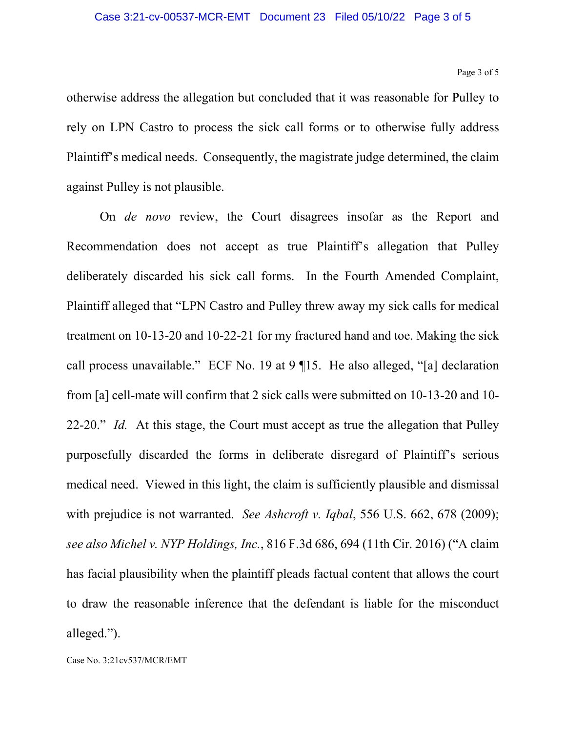Page 3 of 5

otherwise address the allegation but concluded that it was reasonable for Pulley to rely on LPN Castro to process the sick call forms or to otherwise fully address Plaintiff's medical needs. Consequently, the magistrate judge determined, the claim against Pulley is not plausible.

On *de novo* review, the Court disagrees insofar as the Report and Recommendation does not accept as true Plaintiff's allegation that Pulley deliberately discarded his sick call forms. In the Fourth Amended Complaint, Plaintiff alleged that "LPN Castro and Pulley threw away my sick calls for medical treatment on 10-13-20 and 10-22-21 for my fractured hand and toe. Making the sick call process unavailable." ECF No. 19 at 9 ¶15. He also alleged, "[a] declaration from [a] cell-mate will confirm that 2 sick calls were submitted on 10-13-20 and 10- 22-20." *Id.* At this stage, the Court must accept as true the allegation that Pulley purposefully discarded the forms in deliberate disregard of Plaintiff's serious medical need. Viewed in this light, the claim is sufficiently plausible and dismissal with prejudice is not warranted. *See Ashcroft v. Iqbal*, 556 U.S. 662, 678 (2009); *see also Michel v. NYP Holdings, Inc.*, 816 F.3d 686, 694 (11th Cir. 2016) ("A claim has facial plausibility when the plaintiff pleads factual content that allows the court to draw the reasonable inference that the defendant is liable for the misconduct alleged.").

Case No. 3:21cv537/MCR/EMT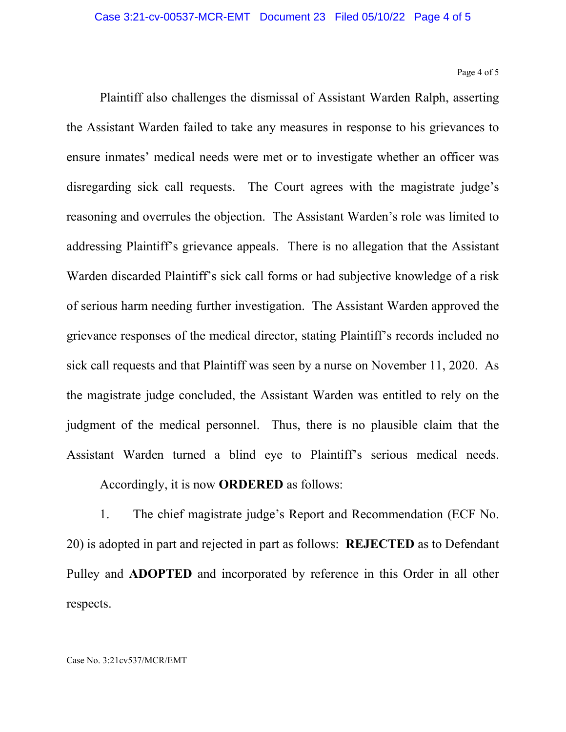#### Page 4 of 5

Plaintiff also challenges the dismissal of Assistant Warden Ralph, asserting the Assistant Warden failed to take any measures in response to his grievances to ensure inmates' medical needs were met or to investigate whether an officer was disregarding sick call requests. The Court agrees with the magistrate judge's reasoning and overrules the objection. The Assistant Warden's role was limited to addressing Plaintiff's grievance appeals. There is no allegation that the Assistant Warden discarded Plaintiff's sick call forms or had subjective knowledge of a risk of serious harm needing further investigation. The Assistant Warden approved the grievance responses of the medical director, stating Plaintiff's records included no sick call requests and that Plaintiff was seen by a nurse on November 11, 2020. As the magistrate judge concluded, the Assistant Warden was entitled to rely on the judgment of the medical personnel. Thus, there is no plausible claim that the Assistant Warden turned a blind eye to Plaintiff's serious medical needs.

## Accordingly, it is now **ORDERED** as follows:

1. The chief magistrate judge's Report and Recommendation (ECF No. 20) is adopted in part and rejected in part as follows: **REJECTED** as to Defendant Pulley and **ADOPTED** and incorporated by reference in this Order in all other respects.